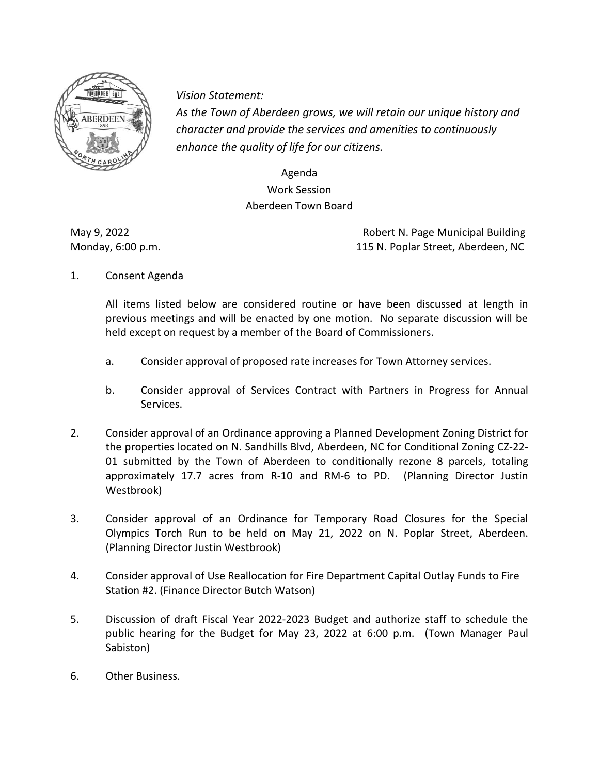

*Vision Statement: Vision Statement:*

*As the Town of Aberdeen grows, we will retain our unique history and character and provide the services and amenities to continuously enhance the quality of life for our citizens.* 

> Agenda Work Session Aberdeen Town Board

May 9, 2022 **Robert N. Page Municipal Building** Monday, 6:00 p.m. 115 N. Poplar Street, Aberdeen, NC

1. Consent Agenda

All items listed below are considered routine or have been discussed at length in previous meetings and will be enacted by one motion. No separate discussion will be held except on request by a member of the Board of Commissioners.

- a. Consider approval of proposed rate increases for Town Attorney services.
- b. Consider approval of Services Contract with Partners in Progress for Annual Services.
- 2. Consider approval of an Ordinance approving a Planned Development Zoning District for the properties located on N. Sandhills Blvd, Aberdeen, NC for Conditional Zoning CZ-22- 01 submitted by the Town of Aberdeen to conditionally rezone 8 parcels, totaling approximately 17.7 acres from R-10 and RM-6 to PD. (Planning Director Justin Westbrook)
- 3. Consider approval of an Ordinance for Temporary Road Closures for the Special Olympics Torch Run to be held on May 21, 2022 on N. Poplar Street, Aberdeen. (Planning Director Justin Westbrook)
- 4. Consider approval of Use Reallocation for Fire Department Capital Outlay Funds to Fire Station #2. (Finance Director Butch Watson)
- 5. Discussion of draft Fiscal Year 2022-2023 Budget and authorize staff to schedule the public hearing for the Budget for May 23, 2022 at 6:00 p.m. (Town Manager Paul Sabiston)
- 6. Other Business.